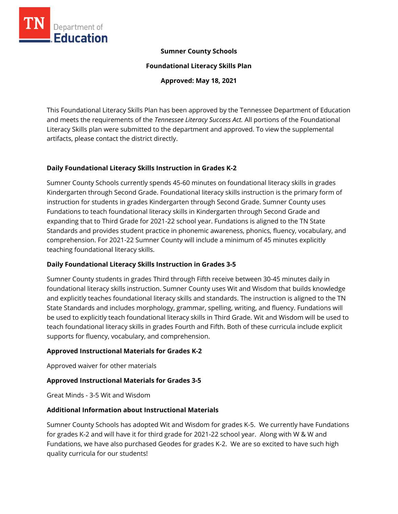

### **Sumner County Schools**

**Foundational Literacy Skills Plan** 

**Approved: May 18, 2021** 

This Foundational Literacy Skills Plan has been approved by the Tennessee Department of Education and meets the requirements of the *Tennessee Literacy Success Act.* All portions of the Foundational Literacy Skills plan were submitted to the department and approved. To view the supplemental artifacts, please contact the district directly.

#### **Daily Foundational Literacy Skills Instruction in Grades K-2**

Sumner County Schools currently spends 45-60 minutes on foundational literacy skills in grades Kindergarten through Second Grade. Foundational literacy skills instruction is the primary form of instruction for students in grades Kindergarten through Second Grade. Sumner County uses Fundations to teach foundational literacy skills in Kindergarten through Second Grade and expanding that to Third Grade for 2021-22 school year. Fundations is aligned to the TN State Standards and provides student practice in phonemic awareness, phonics, fluency, vocabulary, and comprehension. For 2021-22 Sumner County will include a minimum of 45 minutes explicitly teaching foundational literacy skills.

#### **Daily Foundational Literacy Skills Instruction in Grades 3-5**

Sumner County students in grades Third through Fifth receive between 30-45 minutes daily in foundational literacy skills instruction. Sumner County uses Wit and Wisdom that builds knowledge and explicitly teaches foundational literacy skills and standards. The instruction is aligned to the TN State Standards and includes morphology, grammar, spelling, writing, and fluency. Fundations will be used to explicitly teach foundational literacy skills in Third Grade. Wit and Wisdom will be used to teach foundational literacy skills in grades Fourth and Fifth. Both of these curricula include explicit supports for fluency, vocabulary, and comprehension.

#### **Approved Instructional Materials for Grades K-2**

Approved waiver for other materials

# **Approved Instructional Materials for Grades 3-5**

Great Minds - 3-5 Wit and Wisdom

#### **Additional Information about Instructional Materials**

Sumner County Schools has adopted Wit and Wisdom for grades K-5. We currently have Fundations for grades K-2 and will have it for third grade for 2021-22 school year. Along with W & W and Fundations, we have also purchased Geodes for grades K-2. We are so excited to have such high quality curricula for our students!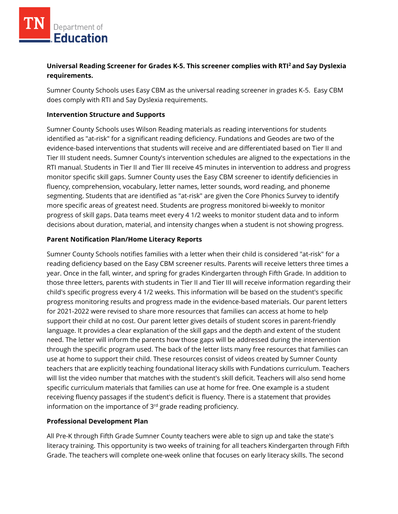# **Universal Reading Screener for Grades K-5. This screener complies with RTI<sup>2</sup>and Say Dyslexia requirements.**

Sumner County Schools uses Easy CBM as the universal reading screener in grades K-5. Easy CBM does comply with RTI and Say Dyslexia requirements.

### **Intervention Structure and Supports**

Sumner County Schools uses Wilson Reading materials as reading interventions for students identified as "at-risk" for a significant reading deficiency. Fundations and Geodes are two of the evidence-based interventions that students will receive and are differentiated based on Tier II and Tier III student needs. Sumner County's intervention schedules are aligned to the expectations in the RTI manual. Students in Tier II and Tier III receive 45 minutes in intervention to address and progress monitor specific skill gaps. Sumner County uses the Easy CBM screener to identify deficiencies in fluency, comprehension, vocabulary, letter names, letter sounds, word reading, and phoneme segmenting. Students that are identified as "at-risk" are given the Core Phonics Survey to identify more specific areas of greatest need. Students are progress monitored bi-weekly to monitor progress of skill gaps. Data teams meet every 4 1/2 weeks to monitor student data and to inform decisions about duration, material, and intensity changes when a student is not showing progress.

### **Parent Notification Plan/Home Literacy Reports**

Sumner County Schools notifies families with a letter when their child is considered "at-risk" for a reading deficiency based on the Easy CBM screener results. Parents will receive letters three times a year. Once in the fall, winter, and spring for grades Kindergarten through Fifth Grade. In addition to those three letters, parents with students in Tier II and Tier III will receive information regarding their child's specific progress every 4 1/2 weeks. This information will be based on the student's specific progress monitoring results and progress made in the evidence-based materials. Our parent letters for 2021-2022 were revised to share more resources that families can access at home to help support their child at no cost. Our parent letter gives details of student scores in parent-friendly language. It provides a clear explanation of the skill gaps and the depth and extent of the student need. The letter will inform the parents how those gaps will be addressed during the intervention through the specific program used. The back of the letter lists many free resources that families can use at home to support their child. These resources consist of videos created by Sumner County teachers that are explicitly teaching foundational literacy skills with Fundations curriculum. Teachers will list the video number that matches with the student's skill deficit. Teachers will also send home specific curriculum materials that families can use at home for free. One example is a student receiving fluency passages if the student's deficit is fluency. There is a statement that provides information on the importance of 3<sup>rd</sup> grade reading proficiency.

# **Professional Development Plan**

All Pre-K through Fifth Grade Sumner County teachers were able to sign up and take the state's literacy training. This opportunity is two weeks of training for all teachers Kindergarten through Fifth Grade. The teachers will complete one-week online that focuses on early literacy skills. The second